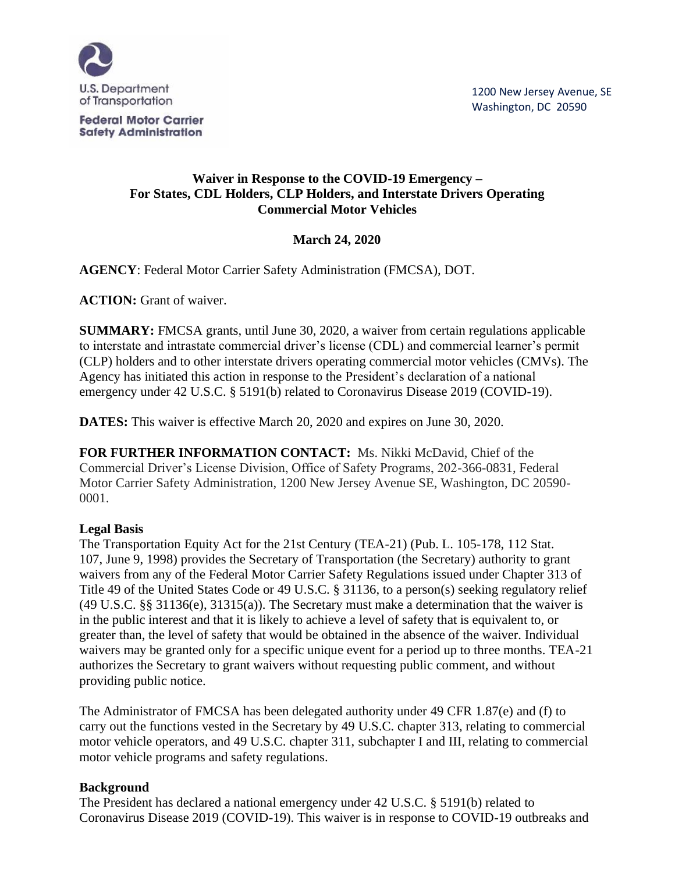

**Federal Motor Carrier Safety Administration** 

#### **Waiver in Response to the COVID-19 Emergency – For States, CDL Holders, CLP Holders, and Interstate Drivers Operating Commercial Motor Vehicles**

# **March 24, 2020**

**AGENCY**: Federal Motor Carrier Safety Administration (FMCSA), DOT.

**ACTION:** Grant of waiver.

**SUMMARY:** FMCSA grants, until June 30, 2020, a waiver from certain regulations applicable to interstate and intrastate commercial driver's license (CDL) and commercial learner's permit (CLP) holders and to other interstate drivers operating commercial motor vehicles (CMVs). The Agency has initiated this action in response to the President's declaration of a national emergency under 42 U.S.C. § 5191(b) related to Coronavirus Disease 2019 (COVID-19).

**DATES:** This waiver is effective March 20, 2020 and expires on June 30, 2020.

**FOR FURTHER INFORMATION CONTACT:** Ms. Nikki McDavid, Chief of the Commercial Driver's License Division, Office of Safety Programs, 202-366-0831, Federal Motor Carrier Safety Administration, 1200 New Jersey Avenue SE, Washington, DC 20590- 0001.

#### **Legal Basis**

The Transportation Equity Act for the 21st Century (TEA-21) [\(Pub. L. 105-178, 112 Stat.](https://1.next.westlaw.com/Link/Document/FullText?findType=l&pubNum=1077005&cite=UUID(IAEC29D6830-2A49AA9A3CD-468BD5F3149)&originatingDoc=I029211C0FCEF11E798D1F8C8A250F511&refType=SL&originationContext=document&transitionType=DocumentItem&contextData=(sc.Keycite))  [107,](https://1.next.westlaw.com/Link/Document/FullText?findType=l&pubNum=1077005&cite=UUID(IAEC29D6830-2A49AA9A3CD-468BD5F3149)&originatingDoc=I029211C0FCEF11E798D1F8C8A250F511&refType=SL&originationContext=document&transitionType=DocumentItem&contextData=(sc.Keycite)) June 9, 1998) provides the Secretary of Transportation (the Secretary) authority to grant waivers from any of the Federal Motor Carrier Safety Regulations issued under Chapter 313 of Title 49 of the United States Code or [49 U.S.C. § 31136,](https://1.next.westlaw.com/Link/Document/FullText?findType=L&pubNum=1000546&cite=49USCAS31136&originatingDoc=I029211C0FCEF11E798D1F8C8A250F511&refType=LQ&originationContext=document&transitionType=DocumentItem&contextData=(sc.Keycite)) to a person(s) seeking regulatory relief [\(49 U.S.C. §§ 31136\(e\),](https://1.next.westlaw.com/Link/Document/FullText?findType=L&pubNum=1000546&cite=49USCAS31136&originatingDoc=I029211C0FCEF11E798D1F8C8A250F511&refType=RB&originationContext=document&transitionType=DocumentItem&contextData=(sc.Keycite)#co_pp_7fdd00001ca15) [31315\(a\)\)](https://1.next.westlaw.com/Link/Document/FullText?findType=L&pubNum=1000546&cite=49USCAS31315&originatingDoc=I029211C0FCEF11E798D1F8C8A250F511&refType=RB&originationContext=document&transitionType=DocumentItem&contextData=(sc.Keycite)#co_pp_8b3b0000958a4). The Secretary must make a determination that the waiver is in the public interest and that it is likely to achieve a level of safety that is equivalent to, or greater than, the level of safety that would be obtained in the absence of the waiver. Individual waivers may be granted only for a specific unique event for a period up to three months. TEA-21 authorizes the Secretary to grant waivers without requesting public comment, and without providing public notice.

The Administrator of FMCSA has been delegated authority under [49 CFR 1.87\(e\) and \(f\)](https://1.next.westlaw.com/Link/Document/FullText?findType=L&pubNum=1000547&cite=49CFRS1.87&originatingDoc=I029211C0FCEF11E798D1F8C8A250F511&refType=RB&originationContext=document&transitionType=DocumentItem&contextData=(sc.Keycite)#co_pp_7fdd00001ca15) to carry out the functions vested in the Secretary by 49 U.S.C. chapter 313, relating to commercial motor vehicle operators, and 49 U.S.C. chapter 311, subchapter I and III, relating to commercial motor vehicle programs and safety regulations.

## **Background**

The President has declared a national emergency under 42 U.S.C. § 5191(b) related to Coronavirus Disease 2019 (COVID-19). This waiver is in response to COVID-19 outbreaks and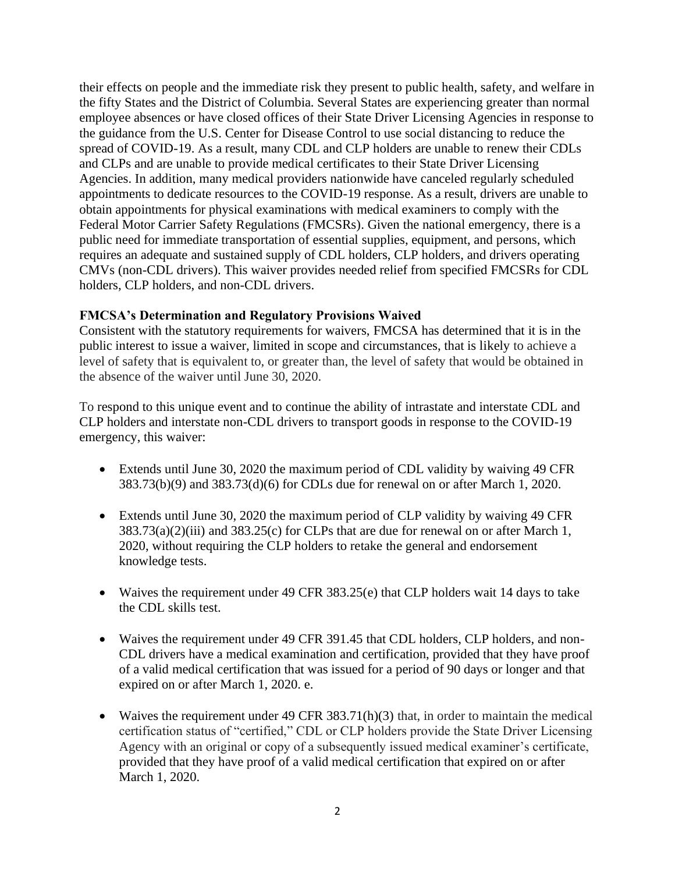their effects on people and the immediate risk they present to public health, safety, and welfare in the fifty States and the District of Columbia. Several States are experiencing greater than normal employee absences or have closed offices of their State Driver Licensing Agencies in response to the guidance from the U.S. Center for Disease Control to use social distancing to reduce the spread of COVID-19. As a result, many CDL and CLP holders are unable to renew their CDLs and CLPs and are unable to provide medical certificates to their State Driver Licensing Agencies. In addition, many medical providers nationwide have canceled regularly scheduled appointments to dedicate resources to the COVID-19 response. As a result, drivers are unable to obtain appointments for physical examinations with medical examiners to comply with the Federal Motor Carrier Safety Regulations (FMCSRs). Given the national emergency, there is a public need for immediate transportation of essential supplies, equipment, and persons, which requires an adequate and sustained supply of CDL holders, CLP holders, and drivers operating CMVs (non-CDL drivers). This waiver provides needed relief from specified FMCSRs for CDL holders, CLP holders, and non-CDL drivers.

## **FMCSA's Determination and Regulatory Provisions Waived**

Consistent with the statutory requirements for waivers, FMCSA has determined that it is in the public interest to issue a waiver, limited in scope and circumstances, that is likely to achieve a level of safety that is equivalent to, or greater than, the level of safety that would be obtained in the absence of the waiver until June 30, 2020.

To respond to this unique event and to continue the ability of intrastate and interstate CDL and CLP holders and interstate non-CDL drivers to transport goods in response to the COVID-19 emergency, this waiver:

- Extends until June 30, 2020 the maximum period of CDL validity by waiving 49 CFR 383.73(b)(9) and 383.73(d)(6) for CDLs due for renewal on or after March 1, 2020.
- Extends until June 30, 2020 the maximum period of CLP validity by waiving 49 CFR  $383.73(a)(2)(iii)$  and  $383.25(c)$  for CLPs that are due for renewal on or after March 1, 2020, without requiring the CLP holders to retake the general and endorsement knowledge tests.
- Waives the requirement under 49 CFR 383.25(e) that CLP holders wait 14 days to take the CDL skills test.
- Waives the requirement under 49 CFR 391.45 that CDL holders, CLP holders, and non-CDL drivers have a medical examination and certification, provided that they have proof of a valid medical certification that was issued for a period of 90 days or longer and that expired on or after March 1, 2020. e.
- Waives the requirement under 49 CFR 383.71(h)(3) that, in order to maintain the medical certification status of "certified," CDL or CLP holders provide the State Driver Licensing Agency with an original or copy of a subsequently issued medical examiner's certificate, provided that they have proof of a valid medical certification that expired on or after March 1, 2020.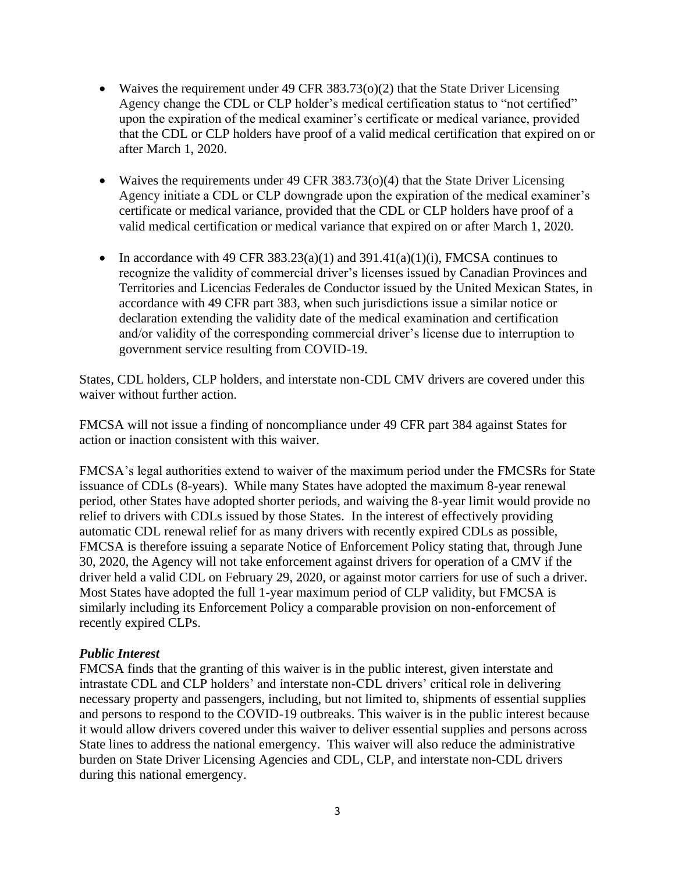- Waives the requirement under 49 CFR 383.73( $o(2)$ ) that the State Driver Licensing Agency change the CDL or CLP holder's medical certification status to "not certified" upon the expiration of the medical examiner's certificate or medical variance, provided that the CDL or CLP holders have proof of a valid medical certification that expired on or after March 1, 2020.
- Waives the requirements under 49 CFR 383.73( $o$ )(4) that the State Driver Licensing Agency initiate a CDL or CLP downgrade upon the expiration of the medical examiner's certificate or medical variance, provided that the CDL or CLP holders have proof of a valid medical certification or medical variance that expired on or after March 1, 2020.
- In accordance with 49 CFR 383.23(a)(1) and 391.41(a)(1)(i), FMCSA continues to recognize the validity of commercial driver's licenses issued by Canadian Provinces and Territories and Licencias Federales de Conductor issued by the United Mexican States, in accordance with 49 CFR part 383, when such jurisdictions issue a similar notice or declaration extending the validity date of the medical examination and certification and/or validity of the corresponding commercial driver's license due to interruption to government service resulting from COVID-19.

States, CDL holders, CLP holders, and interstate non-CDL CMV drivers are covered under this waiver without further action.

FMCSA will not issue a finding of noncompliance under 49 CFR part 384 against States for action or inaction consistent with this waiver.

FMCSA's legal authorities extend to waiver of the maximum period under the FMCSRs for State issuance of CDLs (8-years). While many States have adopted the maximum 8-year renewal period, other States have adopted shorter periods, and waiving the 8-year limit would provide no relief to drivers with CDLs issued by those States. In the interest of effectively providing automatic CDL renewal relief for as many drivers with recently expired CDLs as possible, FMCSA is therefore issuing a separate Notice of Enforcement Policy stating that, through June 30, 2020, the Agency will not take enforcement against drivers for operation of a CMV if the driver held a valid CDL on February 29, 2020, or against motor carriers for use of such a driver. Most States have adopted the full 1-year maximum period of CLP validity, but FMCSA is similarly including its Enforcement Policy a comparable provision on non-enforcement of recently expired CLPs.

#### *Public Interest*

FMCSA finds that the granting of this waiver is in the public interest, given interstate and intrastate CDL and CLP holders' and interstate non-CDL drivers' critical role in delivering necessary property and passengers, including, but not limited to, shipments of essential supplies and persons to respond to the COVID-19 outbreaks. This waiver is in the public interest because it would allow drivers covered under this waiver to deliver essential supplies and persons across State lines to address the national emergency. This waiver will also reduce the administrative burden on State Driver Licensing Agencies and CDL, CLP, and interstate non-CDL drivers during this national emergency.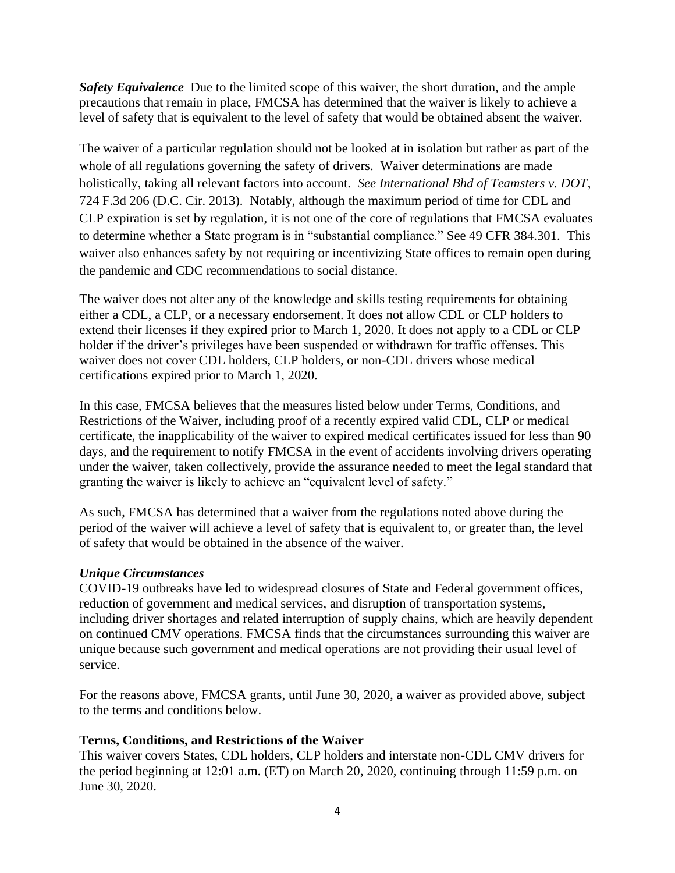*Safety Equivalence* Due to the limited scope of this waiver, the short duration, and the ample precautions that remain in place, FMCSA has determined that the waiver is likely to achieve a level of safety that is equivalent to the level of safety that would be obtained absent the waiver.

The waiver of a particular regulation should not be looked at in isolation but rather as part of the whole of all regulations governing the safety of drivers. Waiver determinations are made holistically, taking all relevant factors into account. *See International Bhd of Teamsters v. DOT*, 724 F.3d 206 (D.C. Cir. 2013). Notably, although the maximum period of time for CDL and CLP expiration is set by regulation, it is not one of the core of regulations that FMCSA evaluates to determine whether a State program is in "substantial compliance." See 49 CFR 384.301. This waiver also enhances safety by not requiring or incentivizing State offices to remain open during the pandemic and CDC recommendations to social distance.

The waiver does not alter any of the knowledge and skills testing requirements for obtaining either a CDL, a CLP, or a necessary endorsement. It does not allow CDL or CLP holders to extend their licenses if they expired prior to March 1, 2020. It does not apply to a CDL or CLP holder if the driver's privileges have been suspended or withdrawn for traffic offenses. This waiver does not cover CDL holders, CLP holders, or non-CDL drivers whose medical certifications expired prior to March 1, 2020.

In this case, FMCSA believes that the measures listed below under Terms, Conditions, and Restrictions of the Waiver, including proof of a recently expired valid CDL, CLP or medical certificate, the inapplicability of the waiver to expired medical certificates issued for less than 90 days, and the requirement to notify FMCSA in the event of accidents involving drivers operating under the waiver, taken collectively, provide the assurance needed to meet the legal standard that granting the waiver is likely to achieve an "equivalent level of safety."

As such, FMCSA has determined that a waiver from the regulations noted above during the period of the waiver will achieve a level of safety that is equivalent to, or greater than, the level of safety that would be obtained in the absence of the waiver.

## *Unique Circumstances*

COVID-19 outbreaks have led to widespread closures of State and Federal government offices, reduction of government and medical services, and disruption of transportation systems, including driver shortages and related interruption of supply chains, which are heavily dependent on continued CMV operations. FMCSA finds that the circumstances surrounding this waiver are unique because such government and medical operations are not providing their usual level of service.

For the reasons above, FMCSA grants, until June 30, 2020, a waiver as provided above, subject to the terms and conditions below.

## **Terms, Conditions, and Restrictions of the Waiver**

This waiver covers States, CDL holders, CLP holders and interstate non-CDL CMV drivers for the period beginning at 12:01 a.m. (ET) on March 20, 2020, continuing through 11:59 p.m. on June 30, 2020.